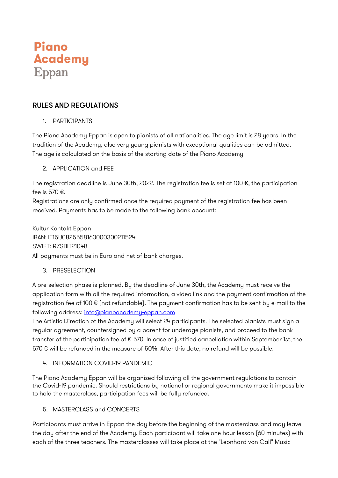# Piano **Academy** Eppan

## RULES AND REGULATIONS

1. PARTICIPANTS

The Piano Academy Eppan is open to pianists of all nationalities. The age limit is 28 years. In the tradition of the Academy, also very young pianists with exceptional qualities can be admitted. The age is calculated on the basis of the starting date of the Piano Academy

2. APPLICATION and FEE

The registration deadline is June 30th, 2022. The registration fee is set at 100 €, the participation fee is 570 €.

Registrations are only confirmed once the required payment of the registration fee has been received. Payments has to be made to the following bank account:

Kultur Kontakt Eppan IBAN: IT15U0825558160000300211524 SWIFT: RZSBIT21048 All payments must be in Euro and net of bank charges.

3. PRESELECTION

A pre-selection phase is planned. By the deadline of June 30th, the Academy must receive the application form with all the required information, a video link and the payment confirmation of the registration fee of 100 € (not refundable). The payment confirmation has to be sent by e-mail to the following address: info@pianoacademy-eppan.com

The Artistic Direction of the Academy will select 24 participants. The selected pianists must sign a regular agreement, countersigned by a parent for underage pianists, and proceed to the bank transfer of the participation fee of € 570. In case of justified cancellation within September 1st, the 570  $\epsilon$  will be refunded in the measure of 50%. After this date, no refund will be possible.

4. INFORMATION COVID-19 PANDEMIC

The Piano Academy Eppan will be organized following all the government regulations to contain the Covid-19 pandemic. Should restrictions by national or regional governments make it impossible to hold the masterclass, participation fees will be fully refunded.

5. MASTERCLASS and CONCERTS

Participants must arrive in Eppan the day before the beginning of the masterclass and may leave the day after the end of the Academy. Each participant will take one hour lesson (60 minutes) with each of the three teachers. The masterclasses will take place at the "Leonhard von Call" Music